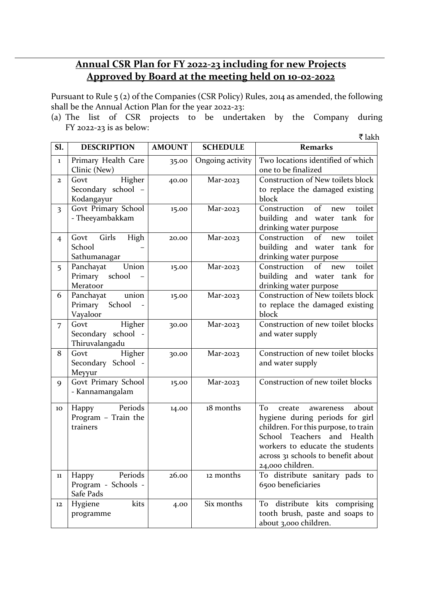## **Annual CSR Plan for FY 2022-23 including for new Projects Approved by Board at the meeting held on 10-02-2022**

Pursuant to Rule 5 (2) of the Companies (CSR Policy) Rules, 2014 as amended, the following shall be the Annual Action Plan for the year 2022-23:

(a) The list of CSR projects to be undertaken by the Company during FY 2022-23 is as below:  $\bar{\tau}$  lakh

| Sl.                     | <b>DESCRIPTION</b>                                     | <b>AMOUNT</b> | <b>SCHEDULE</b>  | <b>Remarks</b>                                                                                                                                                                                                                                 |
|-------------------------|--------------------------------------------------------|---------------|------------------|------------------------------------------------------------------------------------------------------------------------------------------------------------------------------------------------------------------------------------------------|
| $\mathbf{1}$            | Primary Health Care<br>Clinic (New)                    | 35.00         | Ongoing activity | Two locations identified of which<br>one to be finalized                                                                                                                                                                                       |
| $\mathbf{2}$            | Higher<br>Govt<br>Secondary school -<br>Kodangayur     | 40.00         | $Mar-2023$       | Construction of New toilets block<br>to replace the damaged existing<br>block                                                                                                                                                                  |
| $\overline{\mathbf{3}}$ | Govt Primary School<br>- Theeyambakkam                 | 15.00         | $Mar-2023$       | of<br>Construction<br>toilet<br>new<br>building and water tank for<br>drinking water purpose                                                                                                                                                   |
| $\overline{4}$          | Girls<br>High<br>Govt<br>School<br>Sathumanagar        | 20.00         | Mar-2023         | of<br>Construction<br>toilet<br>new<br>building and water tank for<br>drinking water purpose                                                                                                                                                   |
| 5                       | Union<br>Panchayat<br>Primary<br>school<br>Meratoor    | 15.00         | $Mar-2023$       | $\overline{\text{of}}$<br>Construction<br>toilet<br>new<br>building and water tank for<br>drinking water purpose                                                                                                                               |
| 6                       | union<br>Panchayat<br>Primary School<br>Vayaloor       | 15.00         | Mar-2023         | <b>Construction of New toilets block</b><br>to replace the damaged existing<br>block                                                                                                                                                           |
| $\overline{7}$          | Govt<br>Higher<br>Secondary school -<br>Thiruvalangadu | 30.00         | Mar-2023         | Construction of new toilet blocks<br>and water supply                                                                                                                                                                                          |
| 8                       | Higher<br>Govt<br>Secondary School -<br>Meyyur         | 30.00         | Mar-2023         | Construction of new toilet blocks<br>and water supply                                                                                                                                                                                          |
| 9                       | Govt Primary School<br>- Kannamangalam                 | 15.00         | Mar-2023         | Construction of new toilet blocks                                                                                                                                                                                                              |
| 10                      | Periods<br>Happy<br>Program - Train the<br>trainers    | 14.00         | 18 months        | To<br>about<br>create<br>awareness<br>hygiene during periods for girl<br>children. For this purpose, to train<br>School<br>Teachers<br>and Health<br>workers to educate the students<br>across 31 schools to benefit about<br>24,000 children. |
| 11                      | Periods<br>Happy<br>Program - Schools -<br>Safe Pads   | 26.00         | 12 months        | To distribute sanitary pads to<br>6500 beneficiaries                                                                                                                                                                                           |
| 12                      | Hygiene<br>kits<br>programme                           | 4.00          | Six months       | To distribute kits comprising<br>tooth brush, paste and soaps to<br>about 3,000 children.                                                                                                                                                      |